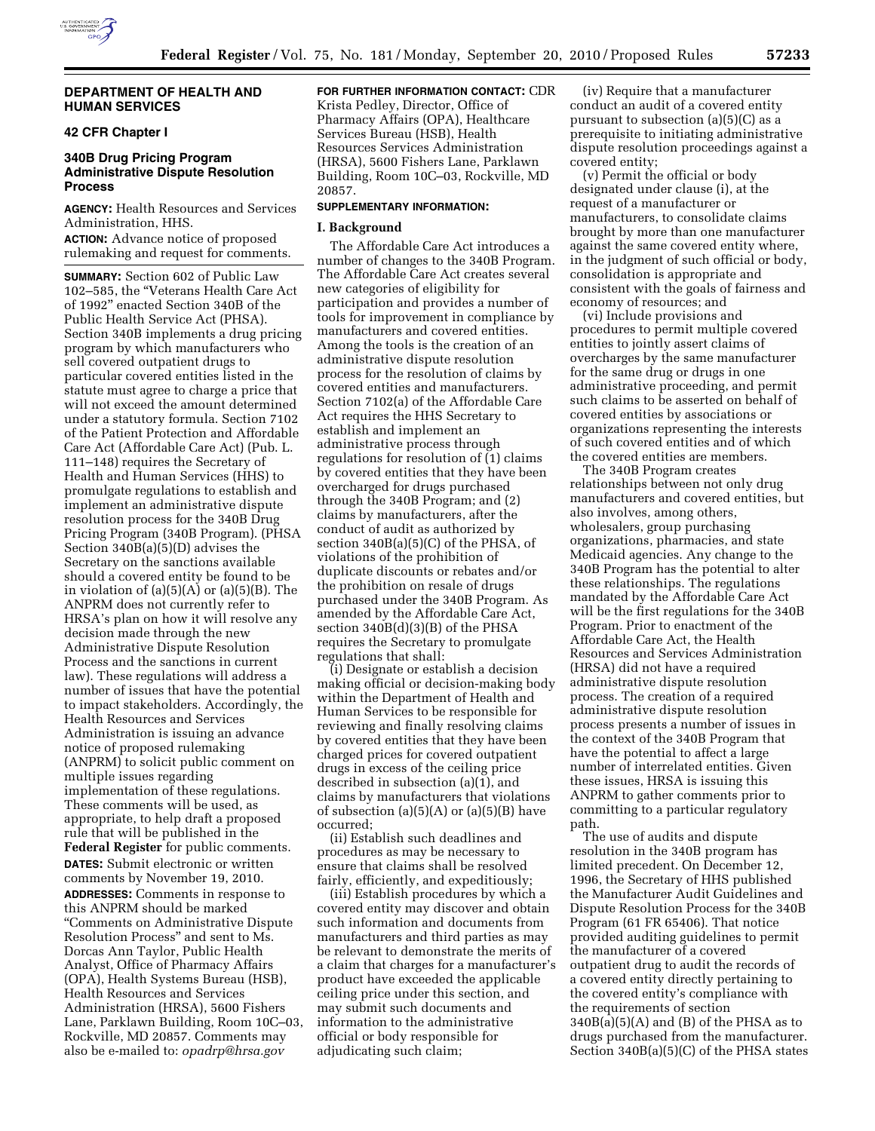

## **DEPARTMENT OF HEALTH AND HUMAN SERVICES**

# **42 CFR Chapter I**

## **340B Drug Pricing Program Administrative Dispute Resolution Process**

**AGENCY:** Health Resources and Services Administration, HHS. **ACTION:** Advance notice of proposed

rulemaking and request for comments.

**SUMMARY:** Section 602 of Public Law 102–585, the ''Veterans Health Care Act of 1992'' enacted Section 340B of the Public Health Service Act (PHSA). Section 340B implements a drug pricing program by which manufacturers who sell covered outpatient drugs to particular covered entities listed in the statute must agree to charge a price that will not exceed the amount determined under a statutory formula. Section 7102 of the Patient Protection and Affordable Care Act (Affordable Care Act) (Pub. L. 111–148) requires the Secretary of Health and Human Services (HHS) to promulgate regulations to establish and implement an administrative dispute resolution process for the 340B Drug Pricing Program (340B Program). (PHSA Section 340B(a)(5)(D) advises the Secretary on the sanctions available should a covered entity be found to be in violation of (a)(5)(A) or (a)(5)(B). The ANPRM does not currently refer to HRSA's plan on how it will resolve any decision made through the new Administrative Dispute Resolution Process and the sanctions in current law). These regulations will address a number of issues that have the potential to impact stakeholders. Accordingly, the Health Resources and Services Administration is issuing an advance notice of proposed rulemaking (ANPRM) to solicit public comment on multiple issues regarding implementation of these regulations. These comments will be used, as appropriate, to help draft a proposed rule that will be published in the **Federal Register** for public comments. **DATES:** Submit electronic or written comments by November 19, 2010. **ADDRESSES:** Comments in response to this ANPRM should be marked ''Comments on Administrative Dispute Resolution Process'' and sent to Ms. Dorcas Ann Taylor, Public Health Analyst, Office of Pharmacy Affairs (OPA), Health Systems Bureau (HSB), Health Resources and Services Administration (HRSA), 5600 Fishers Lane, Parklawn Building, Room 10C–03, Rockville, MD 20857. Comments may also be e-mailed to: *[opadrp@hrsa.gov](mailto:opadrp@hrsa.gov)* 

**FOR FURTHER INFORMATION CONTACT:** CDR

Krista Pedley, Director, Office of Pharmacy Affairs (OPA), Healthcare Services Bureau (HSB), Health Resources Services Administration (HRSA), 5600 Fishers Lane, Parklawn Building, Room 10C–03, Rockville, MD 20857.

### **SUPPLEMENTARY INFORMATION:**

#### **I. Background**

The Affordable Care Act introduces a number of changes to the 340B Program. The Affordable Care Act creates several new categories of eligibility for participation and provides a number of tools for improvement in compliance by manufacturers and covered entities. Among the tools is the creation of an administrative dispute resolution process for the resolution of claims by covered entities and manufacturers. Section 7102(a) of the Affordable Care Act requires the HHS Secretary to establish and implement an administrative process through regulations for resolution of (1) claims by covered entities that they have been overcharged for drugs purchased through the 340B Program; and (2) claims by manufacturers, after the conduct of audit as authorized by section 340B(a)(5)(C) of the PHSA, of violations of the prohibition of duplicate discounts or rebates and/or the prohibition on resale of drugs purchased under the 340B Program. As amended by the Affordable Care Act, section 340B(d)(3)(B) of the PHSA requires the Secretary to promulgate regulations that shall:

(i) Designate or establish a decision making official or decision-making body within the Department of Health and Human Services to be responsible for reviewing and finally resolving claims by covered entities that they have been charged prices for covered outpatient drugs in excess of the ceiling price described in subsection (a)(1), and claims by manufacturers that violations of subsection  $(a)(5)(A)$  or  $(a)(5)(B)$  have occurred;

(ii) Establish such deadlines and procedures as may be necessary to ensure that claims shall be resolved fairly, efficiently, and expeditiously;

(iii) Establish procedures by which a covered entity may discover and obtain such information and documents from manufacturers and third parties as may be relevant to demonstrate the merits of a claim that charges for a manufacturer's product have exceeded the applicable ceiling price under this section, and may submit such documents and information to the administrative official or body responsible for adjudicating such claim;

(iv) Require that a manufacturer conduct an audit of a covered entity pursuant to subsection (a)(5)(C) as a prerequisite to initiating administrative dispute resolution proceedings against a covered entity;

(v) Permit the official or body designated under clause (i), at the request of a manufacturer or manufacturers, to consolidate claims brought by more than one manufacturer against the same covered entity where, in the judgment of such official or body, consolidation is appropriate and consistent with the goals of fairness and economy of resources; and

(vi) Include provisions and procedures to permit multiple covered entities to jointly assert claims of overcharges by the same manufacturer for the same drug or drugs in one administrative proceeding, and permit such claims to be asserted on behalf of covered entities by associations or organizations representing the interests of such covered entities and of which the covered entities are members.

The 340B Program creates relationships between not only drug manufacturers and covered entities, but also involves, among others, wholesalers, group purchasing organizations, pharmacies, and state Medicaid agencies. Any change to the 340B Program has the potential to alter these relationships. The regulations mandated by the Affordable Care Act will be the first regulations for the 340B Program. Prior to enactment of the Affordable Care Act, the Health Resources and Services Administration (HRSA) did not have a required administrative dispute resolution process. The creation of a required administrative dispute resolution process presents a number of issues in the context of the 340B Program that have the potential to affect a large number of interrelated entities. Given these issues, HRSA is issuing this ANPRM to gather comments prior to committing to a particular regulatory path.

The use of audits and dispute resolution in the 340B program has limited precedent. On December 12, 1996, the Secretary of HHS published the Manufacturer Audit Guidelines and Dispute Resolution Process for the 340B Program (61 FR 65406). That notice provided auditing guidelines to permit the manufacturer of a covered outpatient drug to audit the records of a covered entity directly pertaining to the covered entity's compliance with the requirements of section  $340B(a)(5)(A)$  and (B) of the PHSA as to drugs purchased from the manufacturer. Section 340B(a)(5)(C) of the PHSA states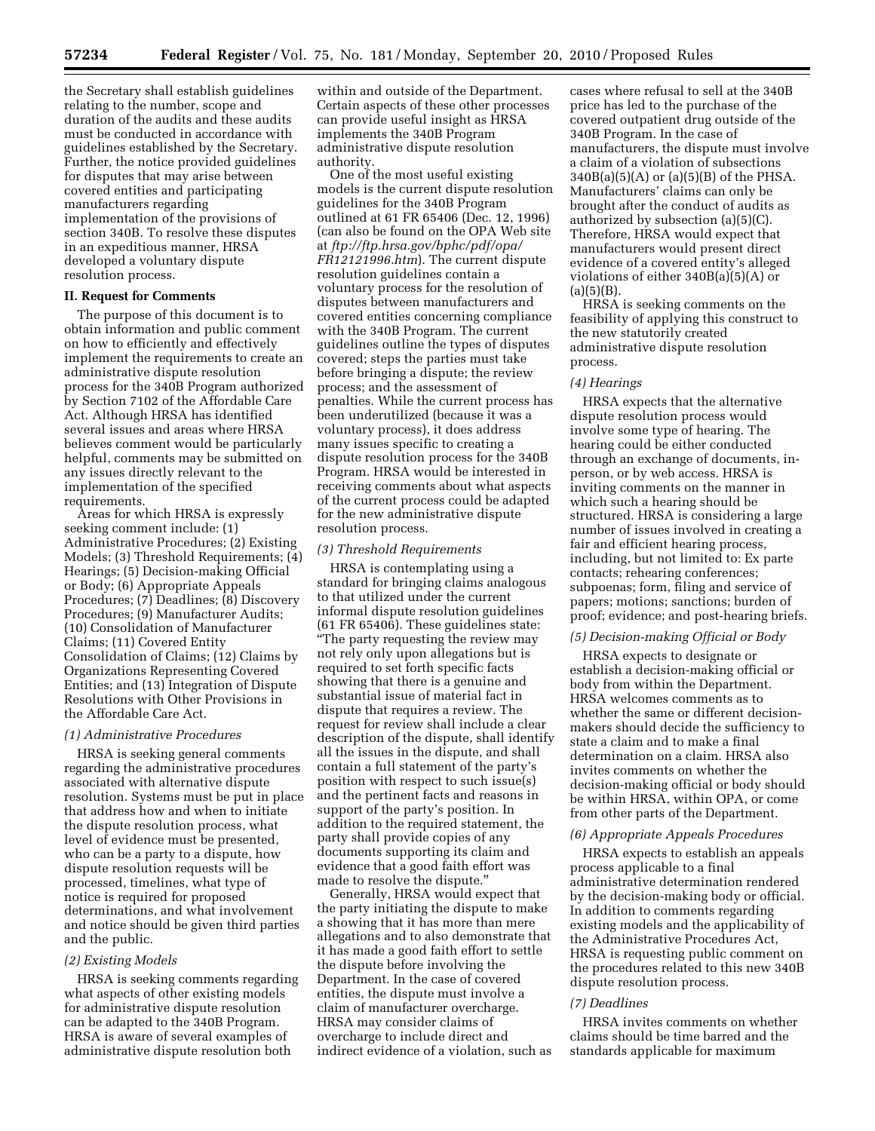the Secretary shall establish guidelines relating to the number, scope and duration of the audits and these audits must be conducted in accordance with guidelines established by the Secretary. Further, the notice provided guidelines for disputes that may arise between covered entities and participating manufacturers regarding implementation of the provisions of section 340B. To resolve these disputes in an expeditious manner, HRSA developed a voluntary dispute resolution process.

# **II. Request for Comments**

The purpose of this document is to obtain information and public comment on how to efficiently and effectively implement the requirements to create an administrative dispute resolution process for the 340B Program authorized by Section 7102 of the Affordable Care Act. Although HRSA has identified several issues and areas where HRSA believes comment would be particularly helpful, comments may be submitted on any issues directly relevant to the implementation of the specified requirements.

Areas for which HRSA is expressly seeking comment include: (1) Administrative Procedures; (2) Existing Models; (3) Threshold Requirements; (4) Hearings; (5) Decision-making Official or Body; (6) Appropriate Appeals Procedures; (7) Deadlines; (8) Discovery Procedures; (9) Manufacturer Audits; (10) Consolidation of Manufacturer Claims; (11) Covered Entity Consolidation of Claims; (12) Claims by Organizations Representing Covered Entities; and (13) Integration of Dispute Resolutions with Other Provisions in the Affordable Care Act.

### *(1) Administrative Procedures*

HRSA is seeking general comments regarding the administrative procedures associated with alternative dispute resolution. Systems must be put in place that address how and when to initiate the dispute resolution process, what level of evidence must be presented, who can be a party to a dispute, how dispute resolution requests will be processed, timelines, what type of notice is required for proposed determinations, and what involvement and notice should be given third parties and the public.

### *(2) Existing Models*

HRSA is seeking comments regarding what aspects of other existing models for administrative dispute resolution can be adapted to the 340B Program. HRSA is aware of several examples of administrative dispute resolution both

within and outside of the Department. Certain aspects of these other processes can provide useful insight as HRSA implements the 340B Program administrative dispute resolution authority.

One of the most useful existing models is the current dispute resolution guidelines for the 340B Program outlined at 61 FR 65406 (Dec. 12, 1996) (can also be found on the OPA Web site at *ftp://ftp.hrsa.gov/bphc/pdf/opa/ FR12121996.htm*). The current dispute resolution guidelines contain a voluntary process for the resolution of disputes between manufacturers and covered entities concerning compliance with the 340B Program. The current guidelines outline the types of disputes covered; steps the parties must take before bringing a dispute; the review process; and the assessment of penalties. While the current process has been underutilized (because it was a voluntary process), it does address many issues specific to creating a dispute resolution process for the 340B Program. HRSA would be interested in receiving comments about what aspects of the current process could be adapted for the new administrative dispute resolution process.

### *(3) Threshold Requirements*

HRSA is contemplating using a standard for bringing claims analogous to that utilized under the current informal dispute resolution guidelines (61 FR 65406). These guidelines state: ''The party requesting the review may not rely only upon allegations but is required to set forth specific facts showing that there is a genuine and substantial issue of material fact in dispute that requires a review. The request for review shall include a clear description of the dispute, shall identify all the issues in the dispute, and shall contain a full statement of the party's position with respect to such issue(s) and the pertinent facts and reasons in support of the party's position. In addition to the required statement, the party shall provide copies of any documents supporting its claim and evidence that a good faith effort was made to resolve the dispute.''

Generally, HRSA would expect that the party initiating the dispute to make a showing that it has more than mere allegations and to also demonstrate that it has made a good faith effort to settle the dispute before involving the Department. In the case of covered entities, the dispute must involve a claim of manufacturer overcharge. HRSA may consider claims of overcharge to include direct and indirect evidence of a violation, such as cases where refusal to sell at the 340B price has led to the purchase of the covered outpatient drug outside of the 340B Program. In the case of manufacturers, the dispute must involve a claim of a violation of subsections  $340B(a)(5)(A)$  or  $(a)(5)(B)$  of the PHSA. Manufacturers' claims can only be brought after the conduct of audits as authorized by subsection (a)(5)(C). Therefore, HRSA would expect that manufacturers would present direct evidence of a covered entity's alleged violations of either 340B(a)(5)(A) or  $(a)(5)(B)$ .

HRSA is seeking comments on the feasibility of applying this construct to the new statutorily created administrative dispute resolution process.

#### *(4) Hearings*

HRSA expects that the alternative dispute resolution process would involve some type of hearing. The hearing could be either conducted through an exchange of documents, inperson, or by web access. HRSA is inviting comments on the manner in which such a hearing should be structured. HRSA is considering a large number of issues involved in creating a fair and efficient hearing process, including, but not limited to: Ex parte contacts; rehearing conferences; subpoenas; form, filing and service of papers; motions; sanctions; burden of proof; evidence; and post-hearing briefs.

## *(5) Decision-making Official or Body*

HRSA expects to designate or establish a decision-making official or body from within the Department. HRSA welcomes comments as to whether the same or different decisionmakers should decide the sufficiency to state a claim and to make a final determination on a claim. HRSA also invites comments on whether the decision-making official or body should be within HRSA, within OPA, or come from other parts of the Department.

#### *(6) Appropriate Appeals Procedures*

HRSA expects to establish an appeals process applicable to a final administrative determination rendered by the decision-making body or official. In addition to comments regarding existing models and the applicability of the Administrative Procedures Act, HRSA is requesting public comment on the procedures related to this new 340B dispute resolution process.

#### *(7) Deadlines*

HRSA invites comments on whether claims should be time barred and the standards applicable for maximum